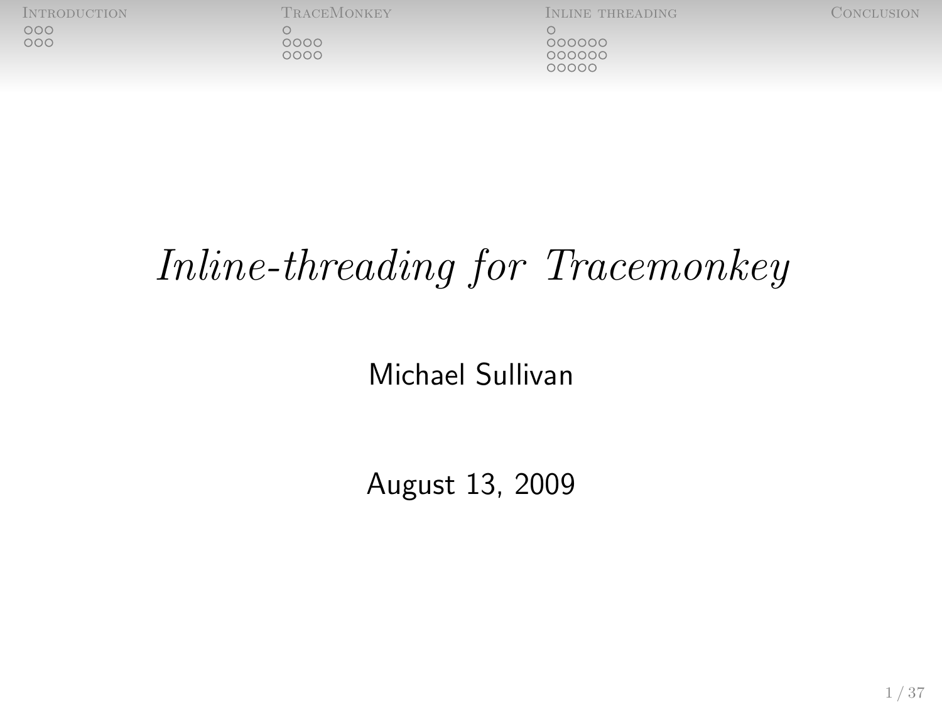$\circ$  $0000$ 

[Introduction](#page-2-0) [TraceMonkey](#page-8-0) [Inline threading](#page-20-0) [Conclusion](#page-40-0)

 $000000$ 000000 00000

# Inline-threading for Tracemonkey

## Michael Sullivan

August 13, 2009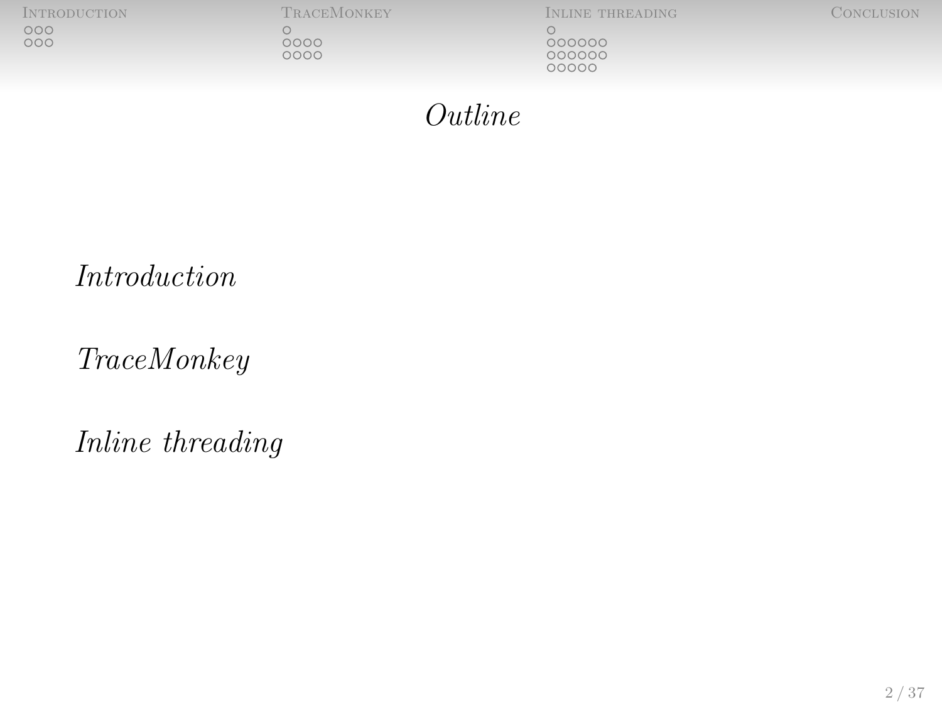[Introduction](#page-2-0) [TraceMonkey](#page-8-0) [Inline threading](#page-20-0) [Conclusion](#page-40-0)  $\underset{\text{OOO}}{\text{OO}}$ 

Outline

[Introduction](#page-2-0)

[TraceMonkey](#page-8-0)

[Inline threading](#page-20-0)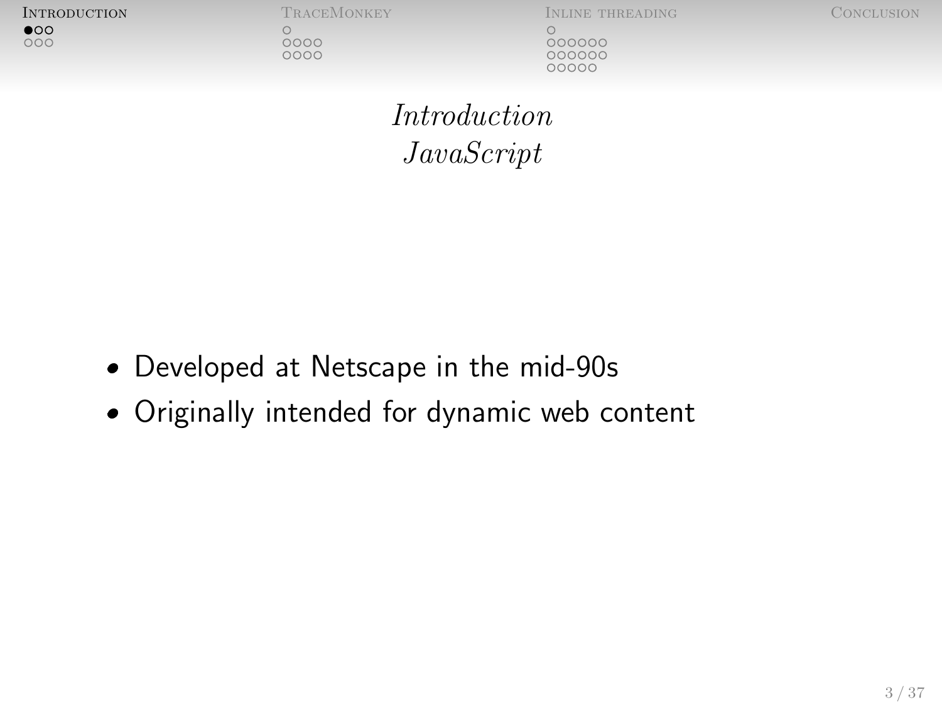$\bullet$  $000$ 

 $0000$ 

0000

[Introduction](#page-2-0) [TraceMonkey](#page-8-0) [Inline threading](#page-20-0) [Conclusion](#page-40-0)

<span id="page-2-0"></span>

000000 000000 00000

[Introduction](#page-2-0) [JavaScript](#page-2-0)

- Developed at Netscape in the mid-90s
- Originally intended for dynamic web content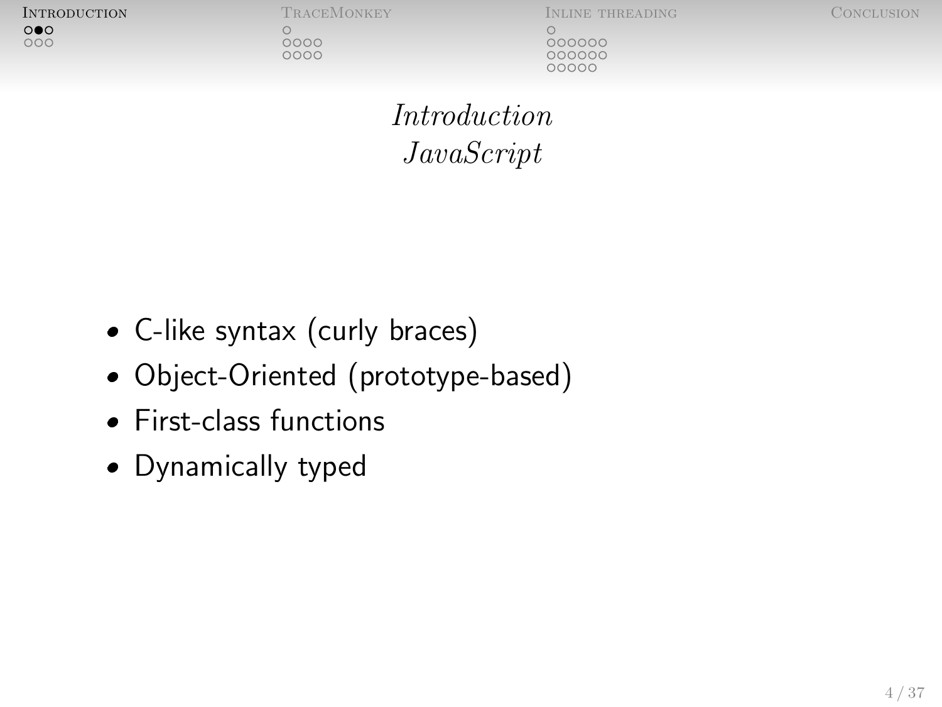$\circ\bullet\circ$  $000$ 

 $\bigcirc$ 

 $0000$ 

0000

[Introduction](#page-2-0) [TraceMonkey](#page-8-0) [Inline threading](#page-20-0) [Conclusion](#page-40-0)

000000  $000000$ 00000

[Introduction](#page-2-0) [JavaScript](#page-2-0)

- C-like syntax (curly braces)
- Object-Oriented (prototype-based)
- First-class functions
- Dynamically typed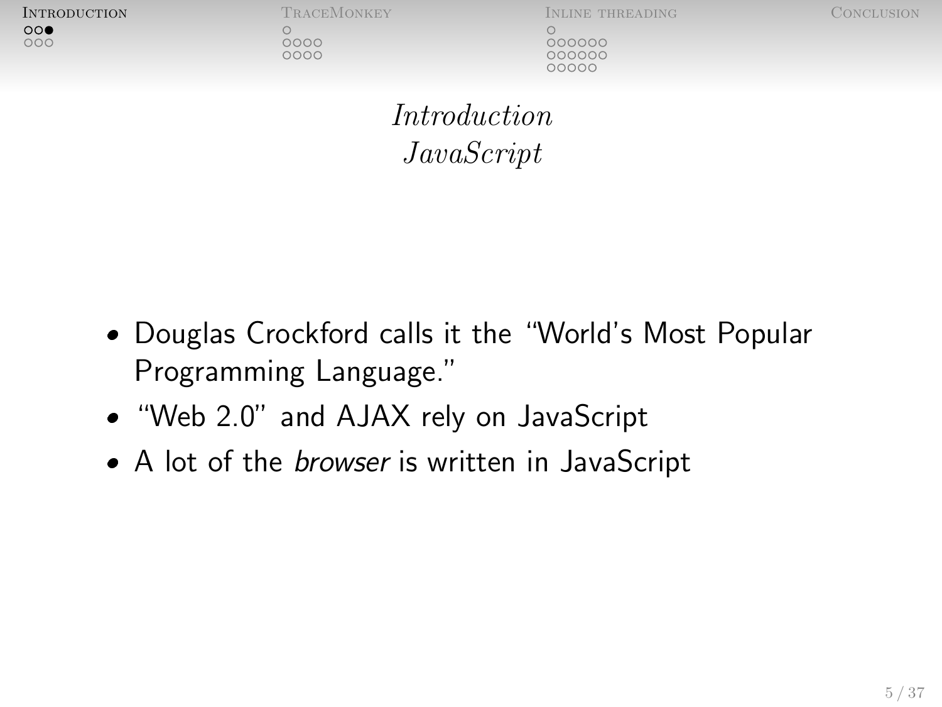$\circ \circ \bullet$  $000$ 

 $0000$ 

0000

[Introduction](#page-2-0) [TraceMonkey](#page-8-0) [Inline threading](#page-20-0) [Conclusion](#page-40-0)

000000 00000C COOOC

[Introduction](#page-2-0) [JavaScript](#page-2-0)

- Douglas Crockford calls it the "World's Most Popular Programming Language."
- . "Web 2.0" and AJAX rely on JavaScript
- A lot of the *browser* is written in JavaScript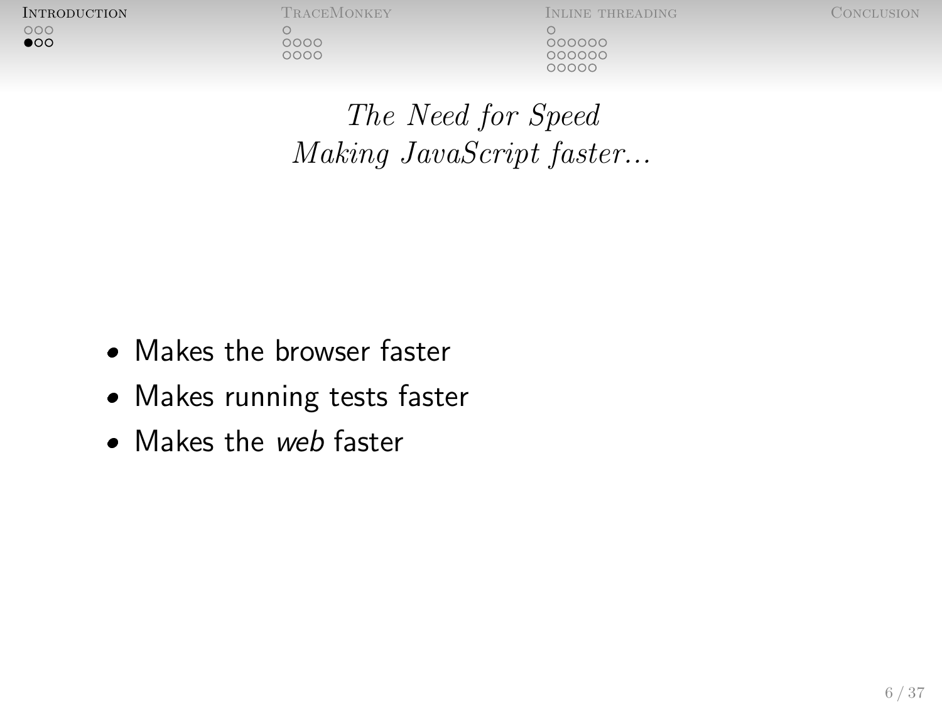$000$  $\bullet$   $\bigcirc$  $0000$ 0000

[Introduction](#page-2-0) [TraceMonkey](#page-8-0) [Inline threading](#page-20-0) [Conclusion](#page-40-0)

<span id="page-5-0"></span>000000 000000 COOOC

[The Need for Speed](#page-5-0) Making JavaScript faster...

- Makes the browser faster
- Makes running tests faster
- Makes the web faster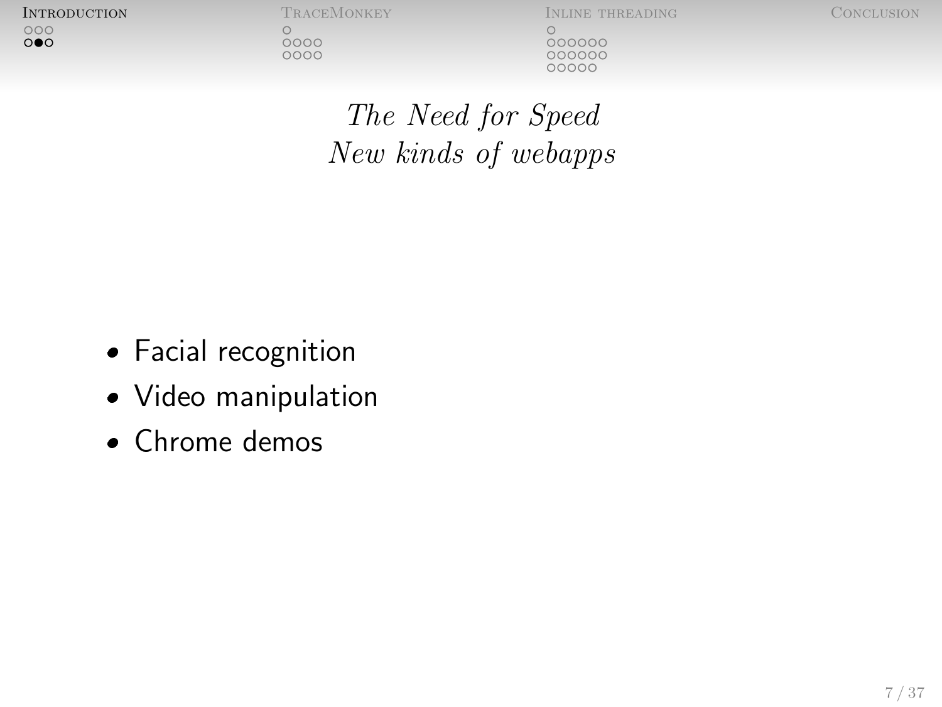$000$  $\circ \bullet \circ$   $\circ$  $0000$ 

0000

[Introduction](#page-2-0) [TraceMonkey](#page-8-0) [Inline threading](#page-20-0) [Conclusion](#page-40-0)

 $000000$ 000000

[The Need for Speed](#page-5-0) New kinds of webapps

- Facial recognition
- Video manipulation
- Chrome demos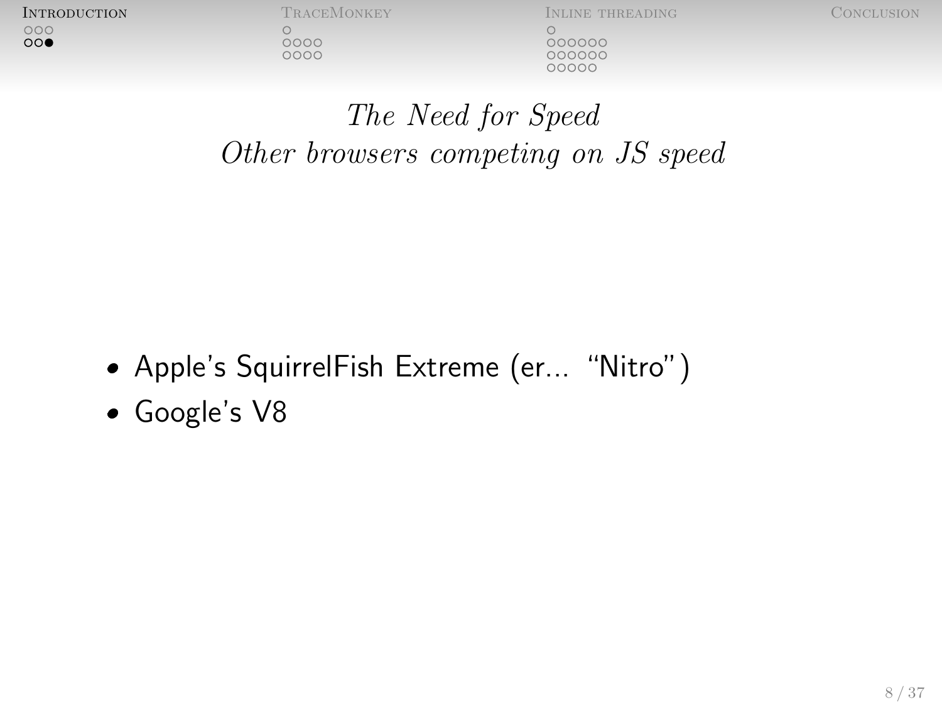$000$  $\circ \circ \bullet$   $0000$ 0000

[Introduction](#page-2-0) [TraceMonkey](#page-8-0) [Inline threading](#page-20-0) [Conclusion](#page-40-0)

000000 000000 00000

[The Need for Speed](#page-5-0) Other browsers competing on JS speed

- Apple's SquirrelFish Extreme (er... "Nitro")
- Google's V8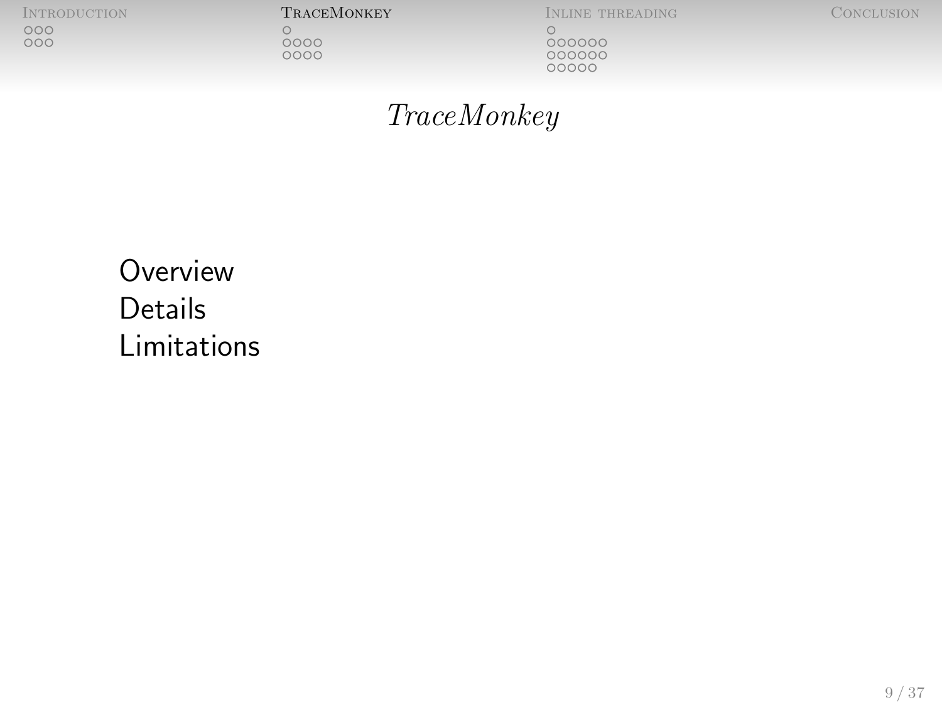$\underset{\text{OOO}}{\text{OO}}$ 

[Introduction](#page-2-0) [TraceMonkey](#page-8-0) [Inline threading](#page-20-0) [Conclusion](#page-40-0) 

 $\circ$ 

 $000000$ 

<span id="page-8-0"></span>

#### [TraceMonkey](#page-8-0)

**[Overview](#page-9-0) [Details](#page-10-0)** [Limitations](#page-15-0)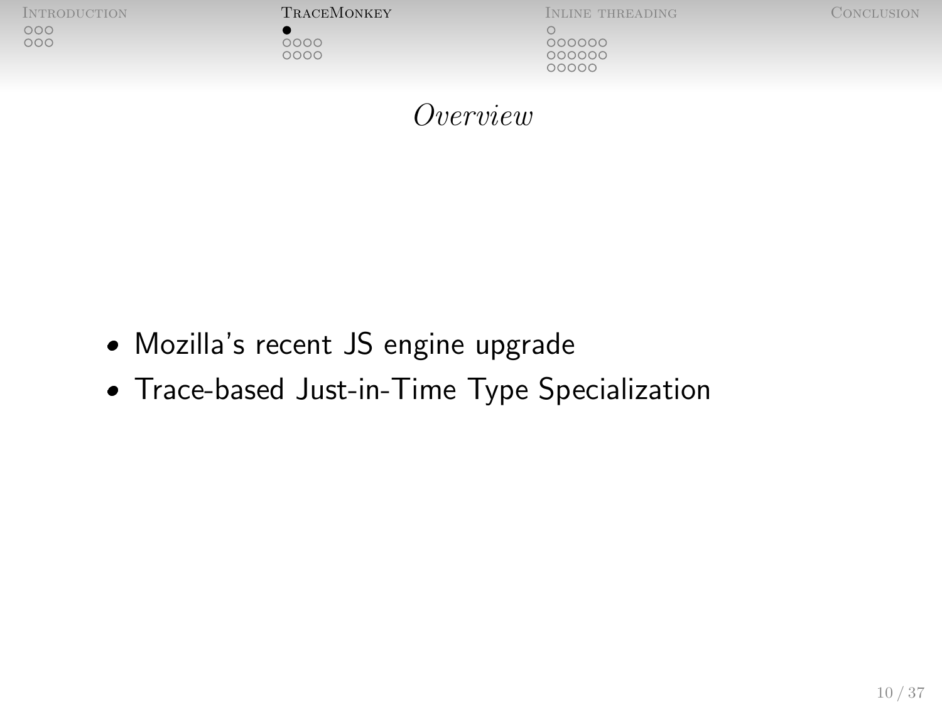

<span id="page-9-0"></span>

Mozilla's recent JS engine upgrade

Trace-based Just-in-Time Type Specialization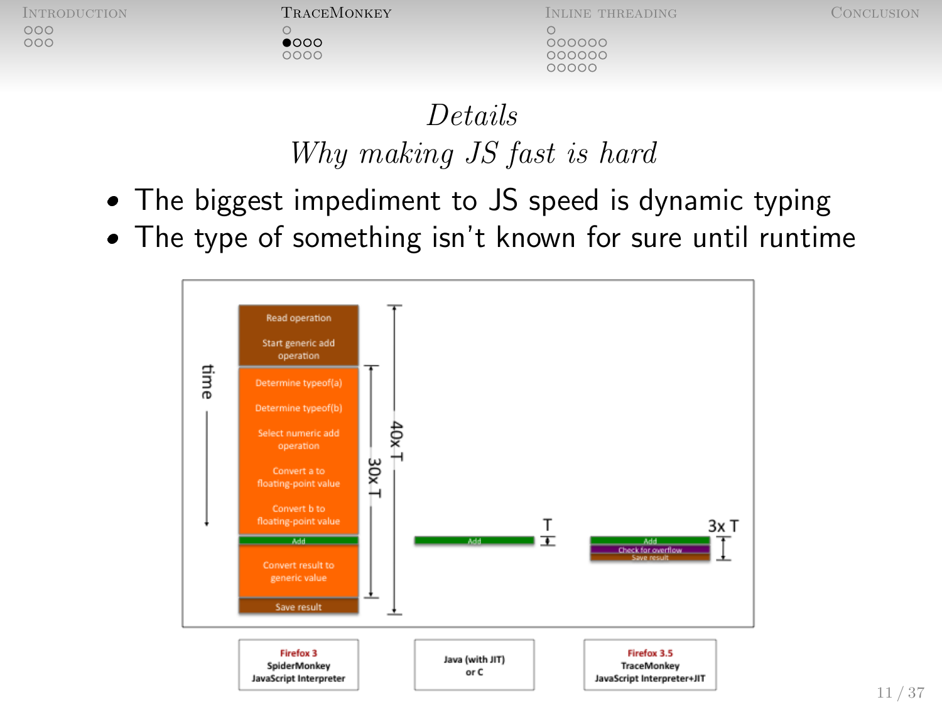$\bullet$ 000 0000

INTRODUCTION **TRACEMONKEY** INLINE THREADING CONCLUSION

000000

 $000000$ 00000

<span id="page-10-0"></span>

# [Details](#page-10-0) Why making JS fast is hard

- The biggest impediment to JS speed is dynamic typing
- The type of something isn't known for sure until runtime

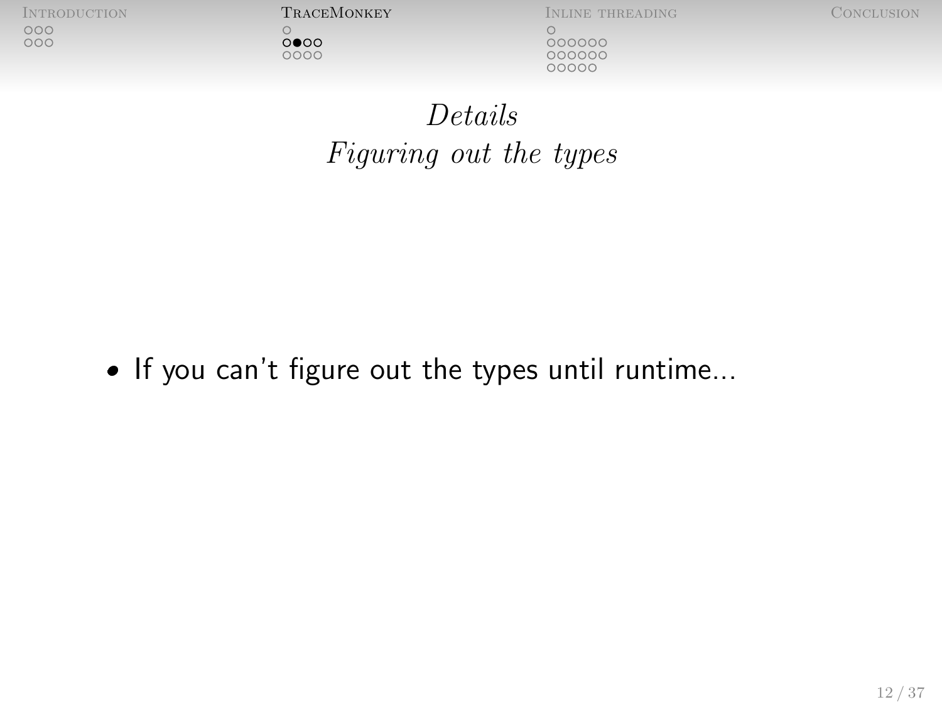$\bigcirc$  $0000$ 

**INTRODUCTION TRACEMONKEY INLINE THREADING CONCLUSION** 

 $000000$ 

# [Details](#page-10-0) Figuring out the types

If you can't figure out the types until runtime...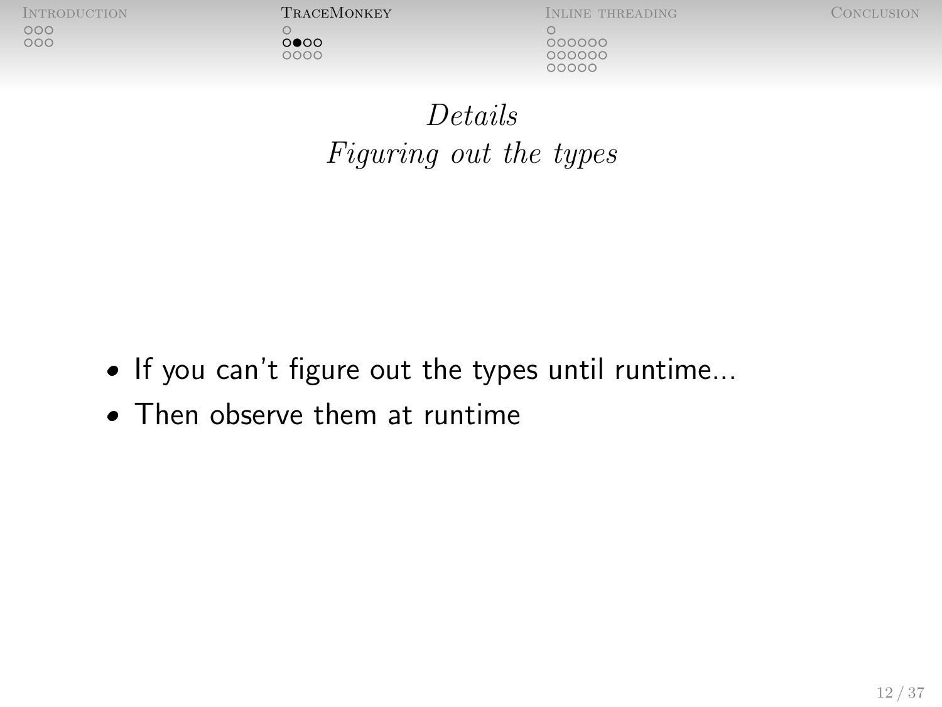$0000$ 

0000

[Introduction](#page-2-0) [TraceMonkey](#page-8-0) [Inline threading](#page-20-0) [Conclusion](#page-40-0)

000000 000000 00000

[Details](#page-10-0) Figuring out the types

- If you can't figure out the types until runtime...
- Then observe them at runtime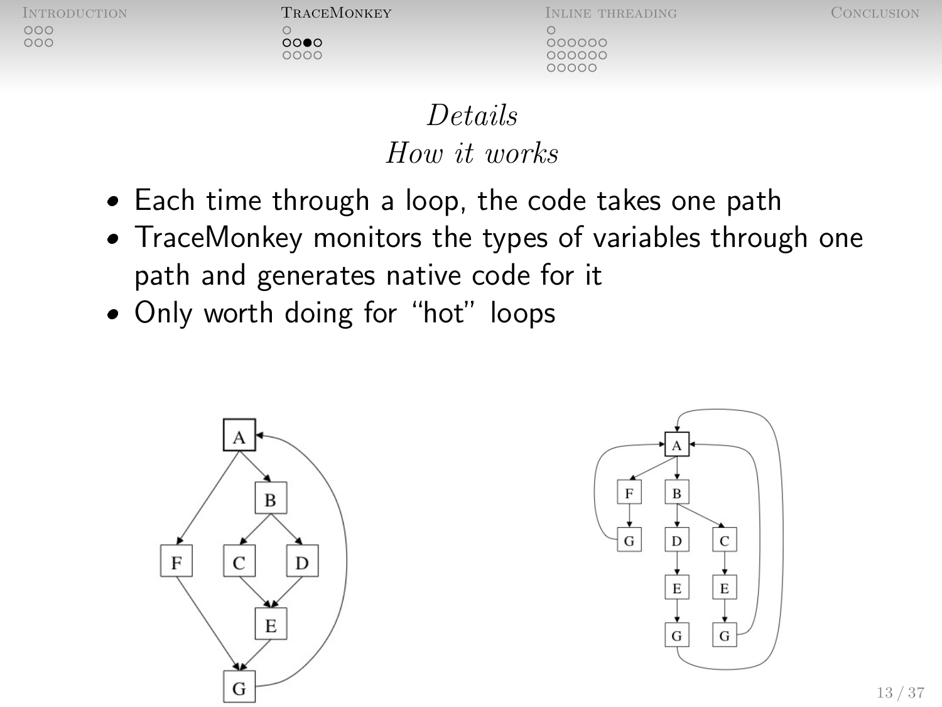noo  $000$   $0000$  $0000$ 

[Introduction](#page-2-0) [TraceMonkey](#page-8-0) [Inline threading](#page-20-0) [Conclusion](#page-40-0)

000000

00000C nnnnn

[Details](#page-10-0) How it works

- Each time through a loop, the code takes one path
- TraceMonkey monitors the types of variables through one path and generates native code for it
- Only worth doing for "hot" loops



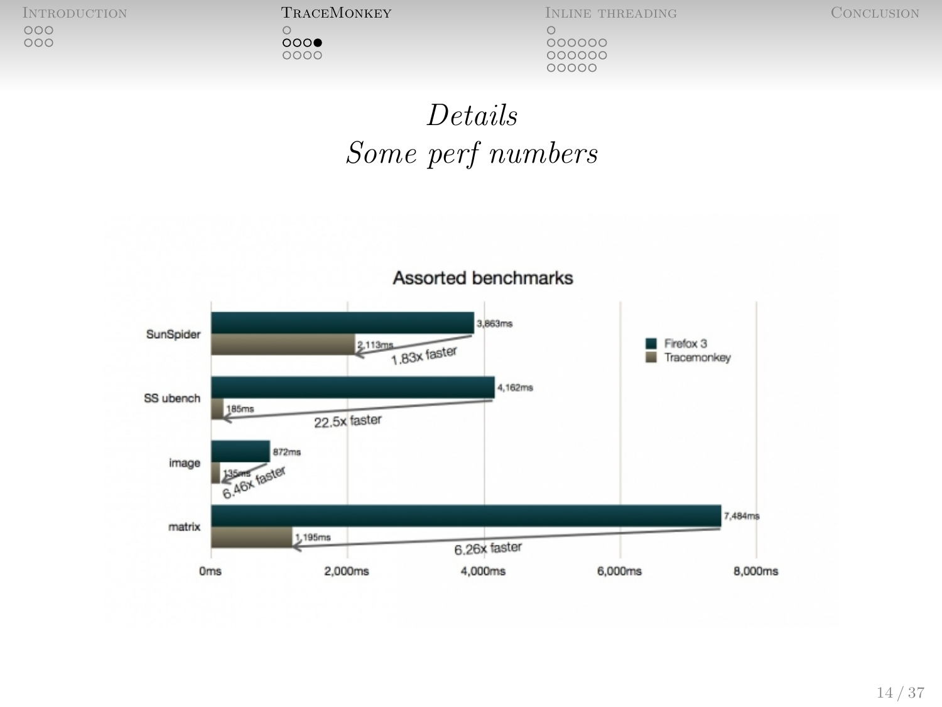INTRODUCTION **TRACEMONKEY** INLINE THREADING CONCLUSION CONCLUSION CONCLUSION CONCLUSION CONCLUSION CONCLUSION CONCLUSION CONCLUSION CONCLUSION CONCLUSION CONCLUSION CONCLUSION CONCLUSION CONCLUSION CONCLUSION CONCLUSION CO

 $\circ$  $000000$ 

[Details](#page-10-0)

# Some perf numbers

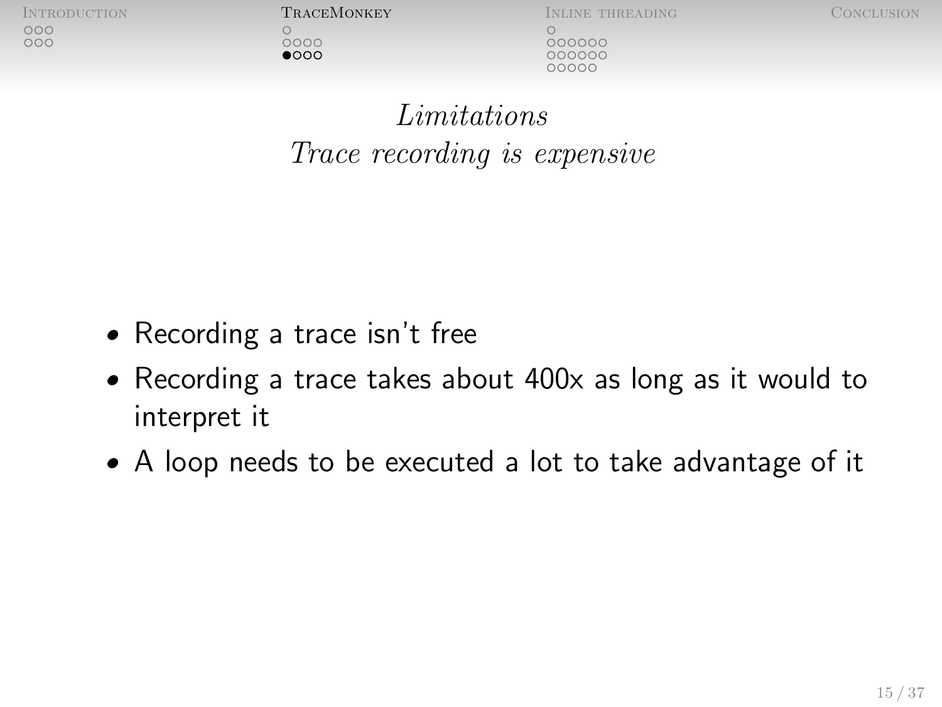$0000$  $\bullet$ 000

INTRODUCTION **TRACEMONKEY** INLINE THREADING CONCLUSION

000000 00000C nnnnn

[Limitations](#page-15-0) Trace recording is expensive

- Recording a trace isn't free
- Recording a trace takes about 400x as long as it would to interpret it
- A loop needs to be executed a lot to take advantage of it

<span id="page-15-0"></span>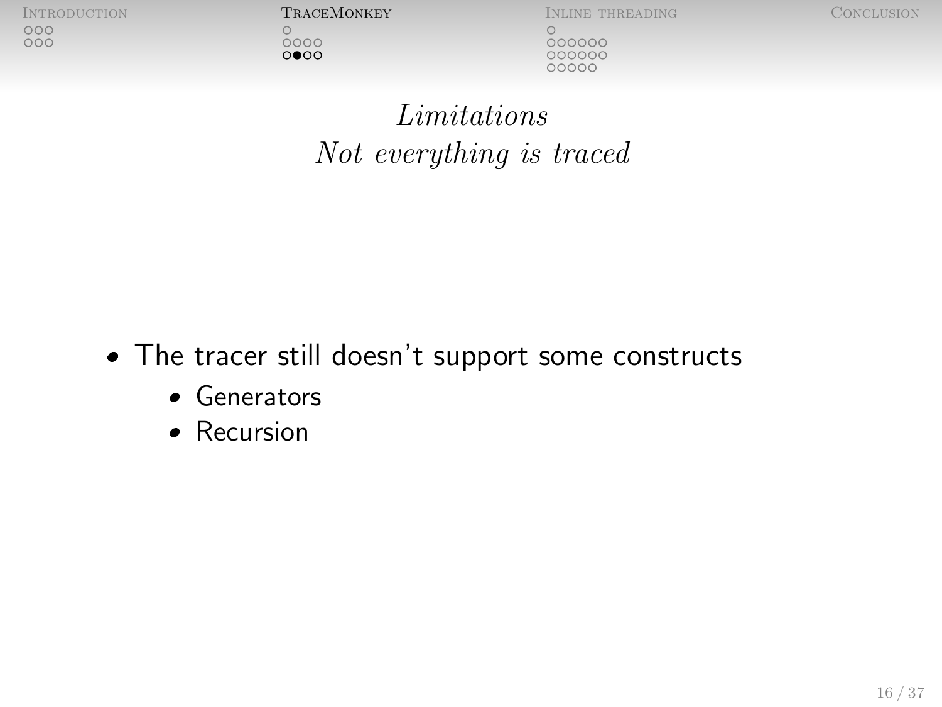$0000$ 

 $0000$ 

**INTRODUCTION TRACEMONKEY INLINE THREADING CONCLUSION** 

000000 000000 00000

[Limitations](#page-15-0) Not everything is traced

- The tracer still doesn't support some constructs
	- Generators
	- Recursion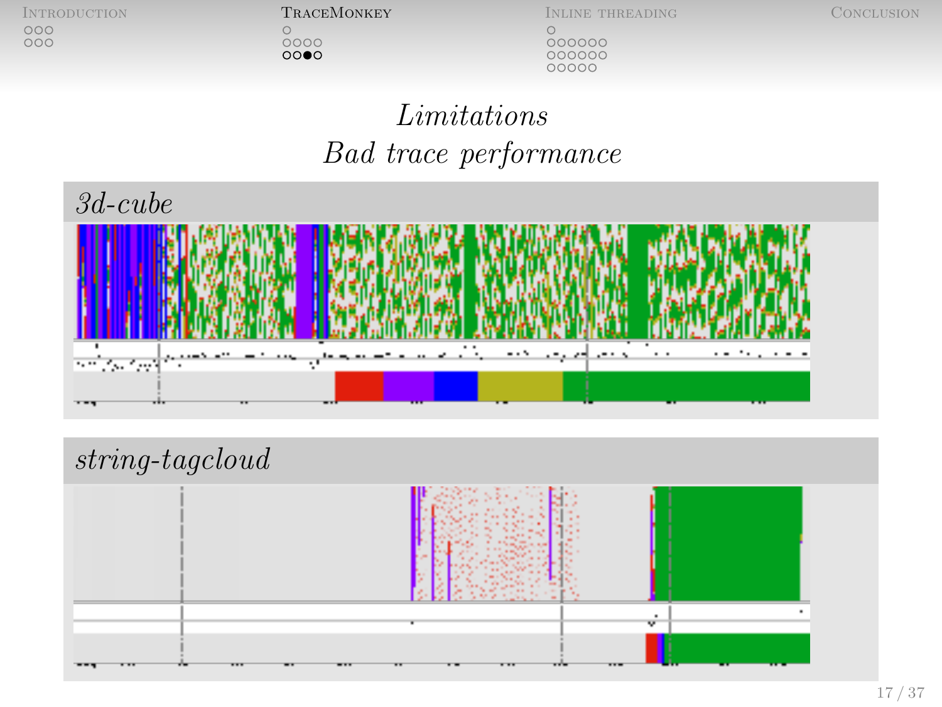INTRODUCTION **TRACEMONKEY** INLINE THREADING CONCLUSION CONCLUSION CONCLUSION CONCLUSION CONCLUSION

 $\overset{\circ}{\underset{\circ}{\circ}}\overset{\circ}{\circ}\overset{\circ}{\circ}\overset{\circ}{\circ}$ 

 $000000$ 

[Limitations](#page-15-0) Bad trace performance



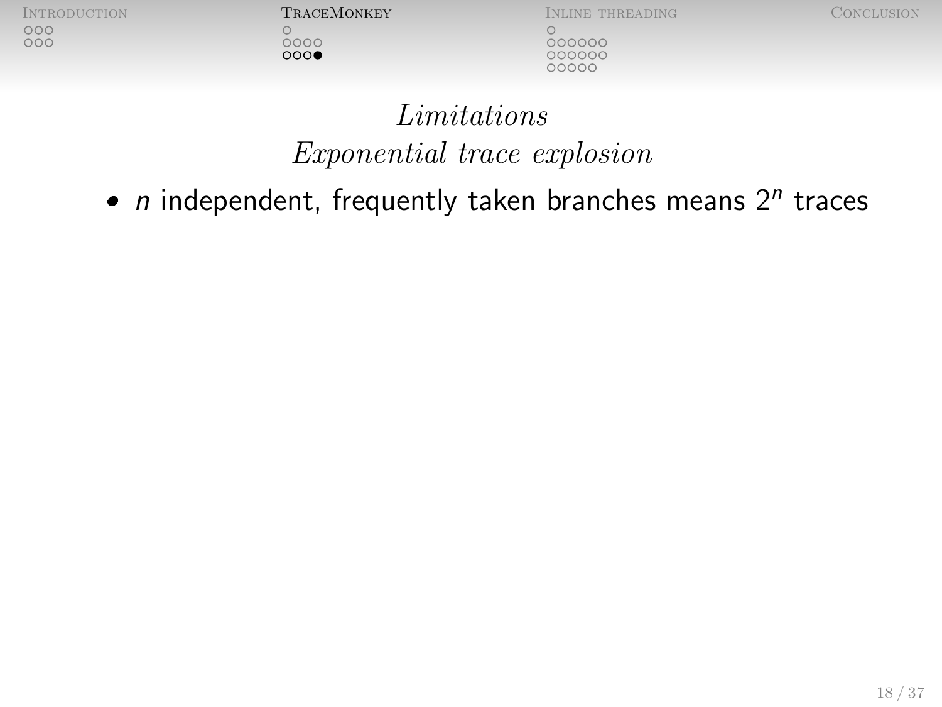$\bigcirc$  $0000$ 

**INTRODUCTION TRACEMONKEY INLINE THREADING CONCLUSION** 000000

000000

# [Limitations](#page-15-0) Exponential trace explosion

•  $n$  independent, frequently taken branches means  $2^n$  traces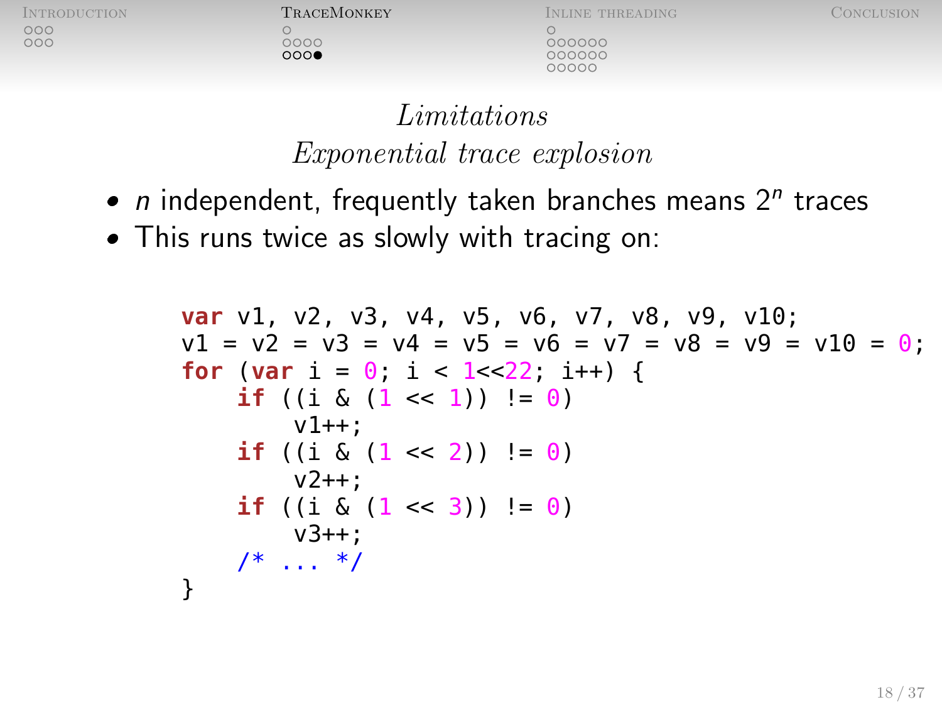$0000$  $000$ 

[Introduction](#page-2-0) [TraceMonkey](#page-8-0) [Inline threading](#page-20-0) [Conclusion](#page-40-0) 000000  $000000$ 00000

## [Limitations](#page-15-0) Exponential trace explosion

- $n$  independent, frequently taken branches means  $2^n$  traces
- This runs twice as slowly with tracing on:

**var** v1, v2, v3, v4, v5, v6, v7, v8, v9, v10; v1 = v2 = v3 = v4 = v5 = v6 = v7 = v8 = v9 = v10 = 0; **for** (**var** i = 0; i < 1<<22; i++) { **if** ((i & (1 << 1)) != 0) v1++; **if** ((i & (1 << 2)) != 0) v2++; **if** ((i & (1 << 3)) != 0) v3++; /\* ... \*/ }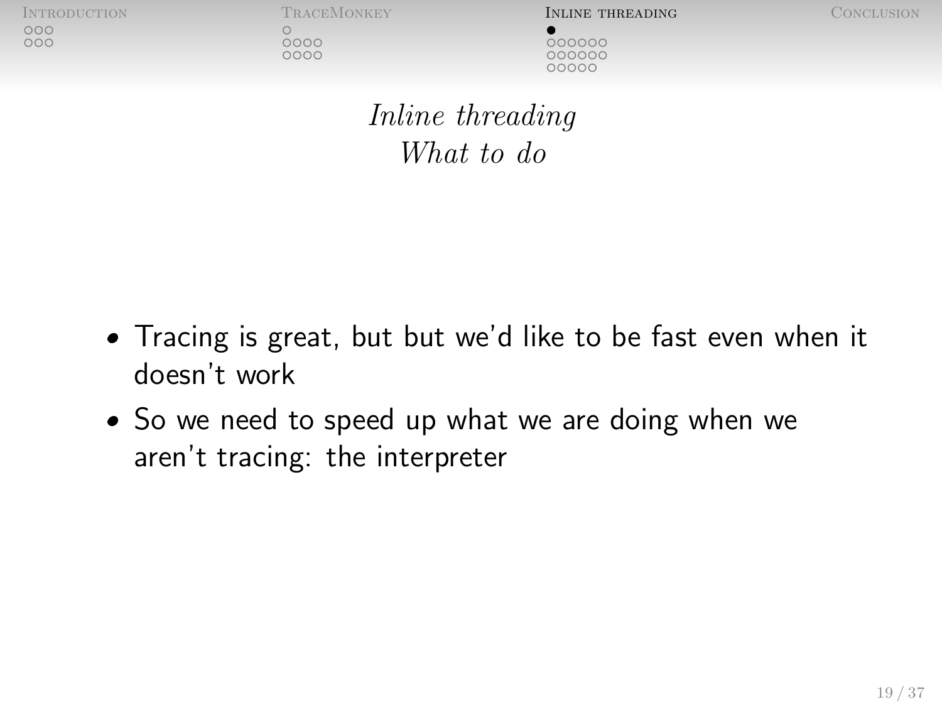$0000$ 

0000

[Introduction](#page-2-0) [TraceMonkey](#page-8-0) [Inline threading](#page-20-0) [Conclusion](#page-40-0)

<span id="page-20-0"></span>

000000 00000C COOOC

[Inline threading](#page-20-0) [What to do](#page-20-0)

- Tracing is great, but but we'd like to be fast even when it doesn't work
- So we need to speed up what we are doing when we aren't tracing: the interpreter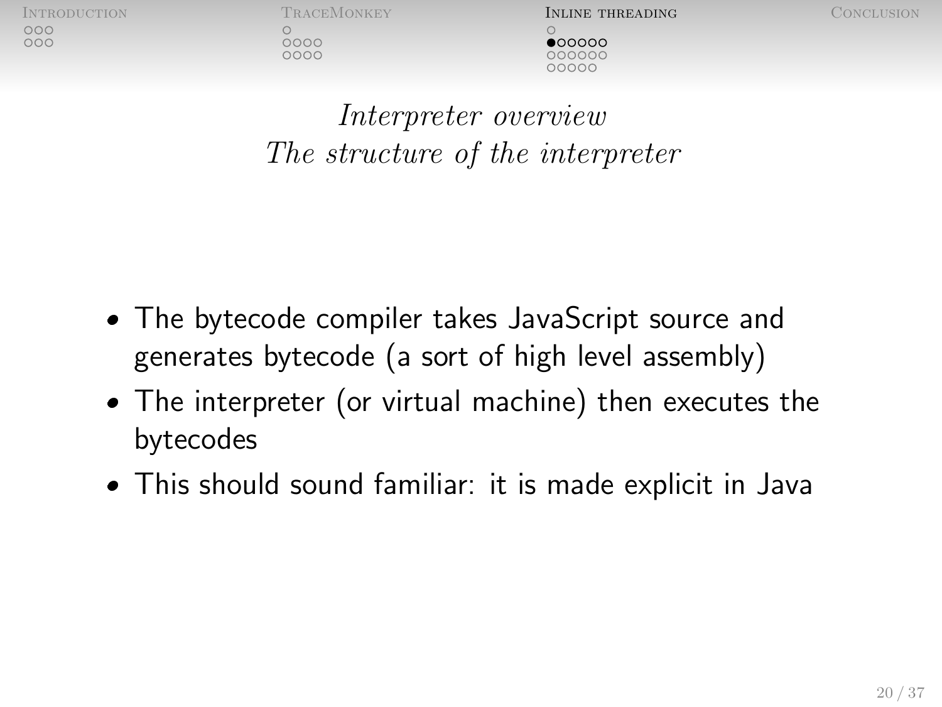$0000$  $0000$ 

INTRODUCTION TRACEMONKEY **INLINE THREADING** CONCLUSION  $\bullet$ 00000 oooooc

<span id="page-21-0"></span>

[Interpreter overview](#page-21-0) The structure of the interpreter

- The bytecode compiler takes JavaScript source and generates bytecode (a sort of high level assembly)
- The interpreter (or virtual machine) then executes the bytecodes
- This should sound familiar: it is made explicit in Java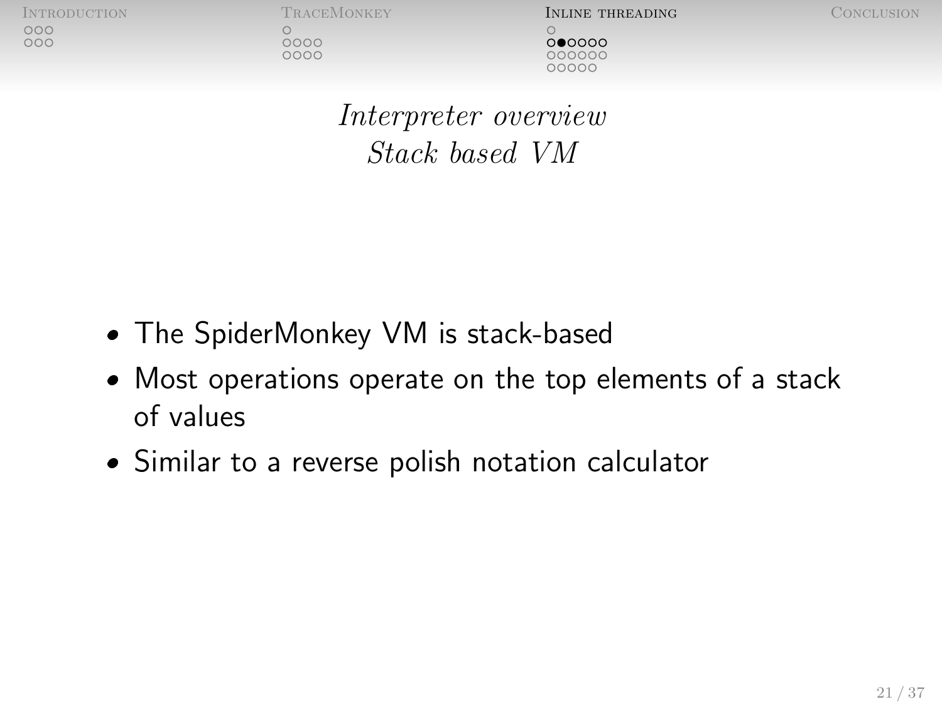$0000$ 

 $0000$ 

[Introduction](#page-2-0) [TraceMonkey](#page-8-0) [Inline threading](#page-20-0) [Conclusion](#page-40-0)  $000000$ 000000 nnnnn

[Interpreter overview](#page-21-0) Stack based VM

- The SpiderMonkey VM is stack-based
- Most operations operate on the top elements of a stack of values
- Similar to a reverse polish notation calculator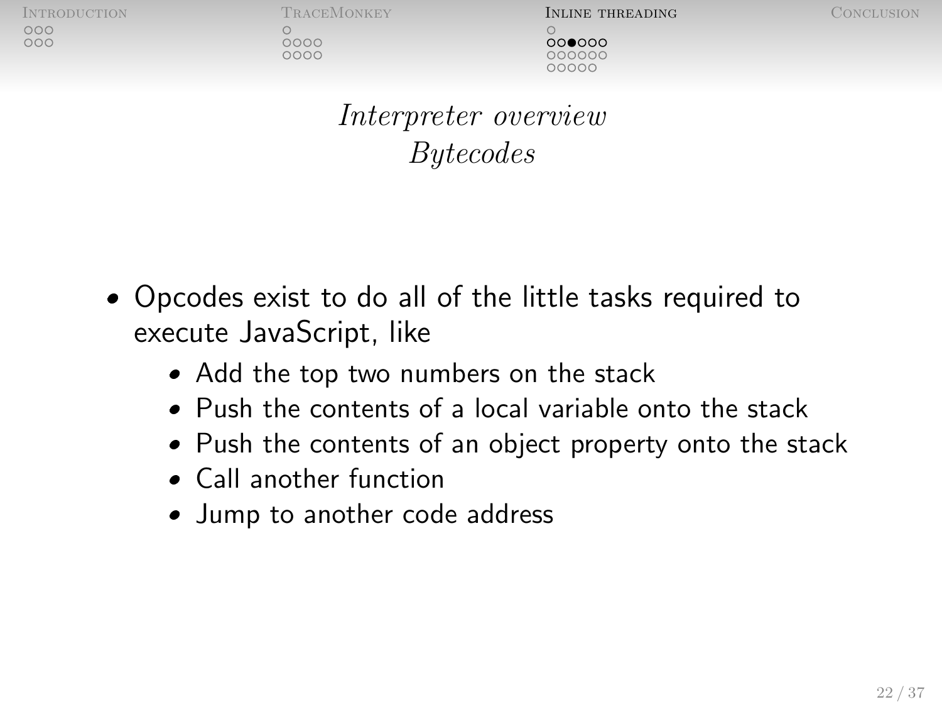nnn

 $0000$ 

 $0000$ 

INTRODUCTION TRACEMONKEY **INLINE THREADING** CONCLUSION  $000000$ nnnnn

[Interpreter overview](#page-21-0) Bytecodes

- Opcodes exist to do all of the little tasks required to execute JavaScript, like
	- Add the top two numbers on the stack
	- Push the contents of a local variable onto the stack
	- Push the contents of an object property onto the stack
	- Call another function
	- Jump to another code address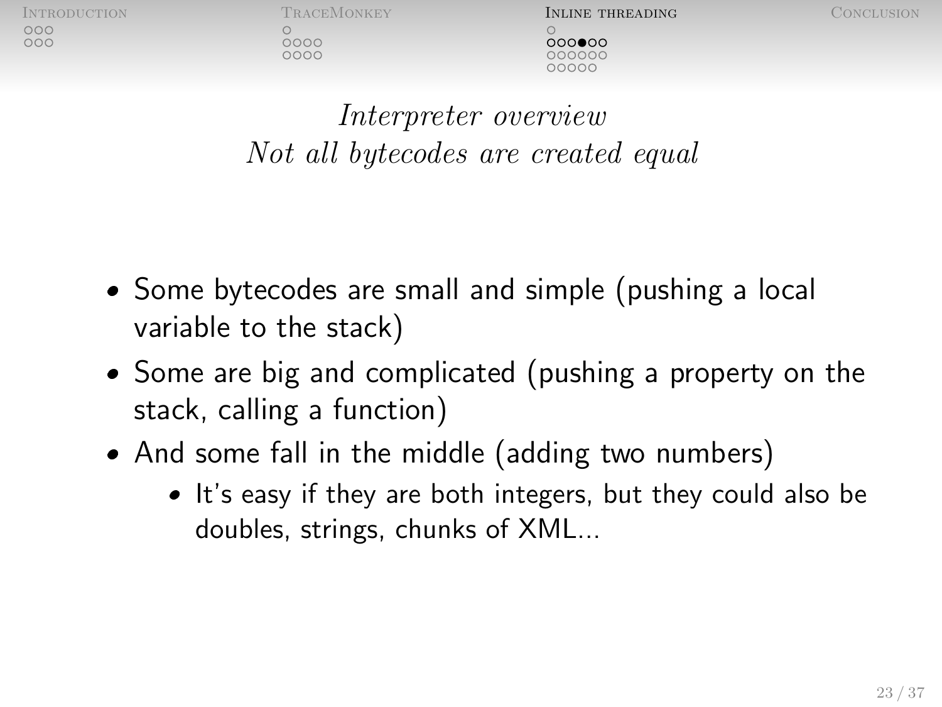0000  $0000$ 

INTRODUCTION TRACEMONKEY **INLINE THREADING** CONCLUSION  $000000$ **DOOO** 

[Interpreter overview](#page-21-0) Not all bytecodes are created equal

- Some bytecodes are small and simple (pushing a local variable to the stack)
- Some are big and complicated (pushing a property on the stack, calling a function)
- And some fall in the middle (adding two numbers)
	- It's easy if they are both integers, but they could also be doubles, strings, chunks of XML...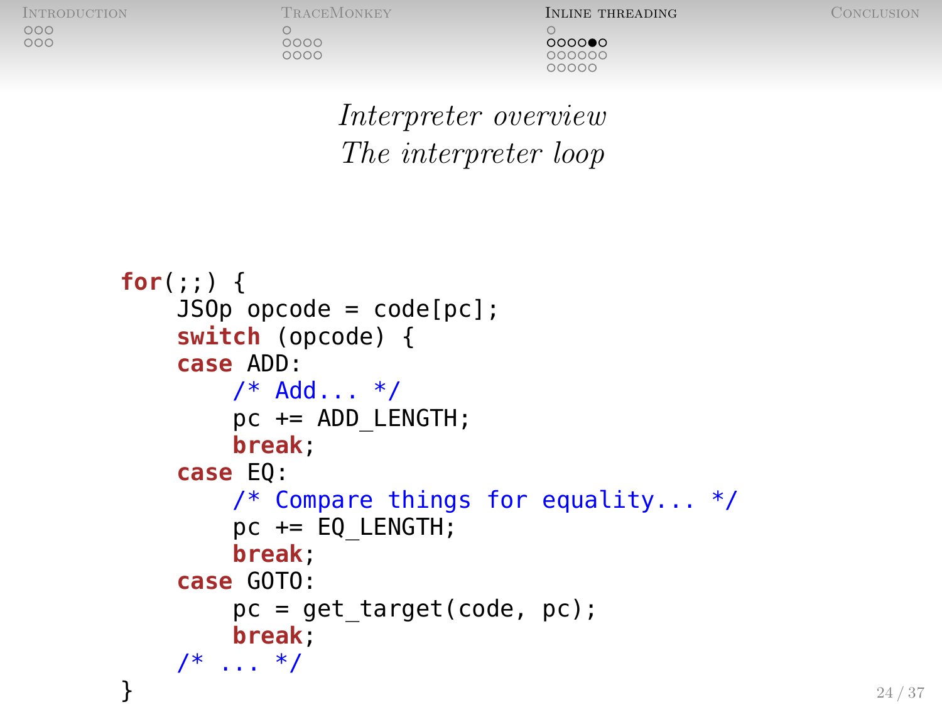$0000$ 

0000

INTRODUCTION TRACEMONKEY **INLINE THREADING** CONCLUSION  $0000000$ 00000C COOOC

[Interpreter overview](#page-21-0) The interpreter loop

```
for(;;) {
    JS0p opcode = code[pc];
    switch (opcode) {
    case ADD:
        /* Add... */pc += ADD LENGTH;
        break;
    case EQ:
        /* Compare things for equality... */
        pc += EQ_LENGTH;
        break;
    case GOTO:
        pc = get target(code, pc);break;
    /* ... */
}
```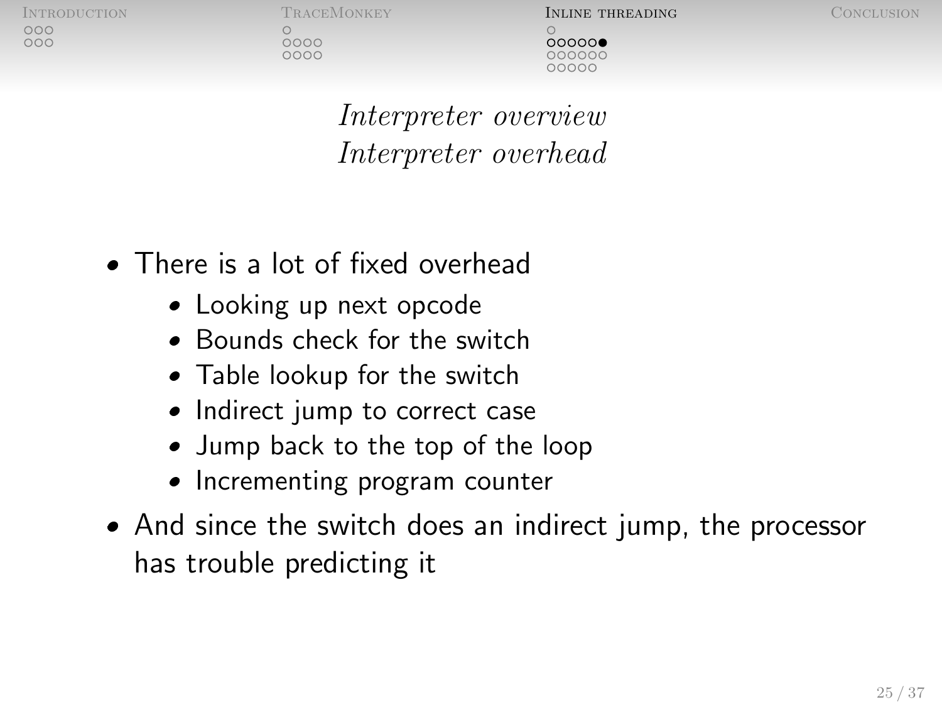nnn

0000

 $0000$ 

INTRODUCTION TRACEMONKEY **INLINE THREADING** CONCLUSION  $00000$ oooooc

[Interpreter overview](#page-21-0) Interpreter overhead

- There is a lot of fixed overhead
	- Looking up next opcode
	- Bounds check for the switch
	- Table lookup for the switch
	- Indirect jump to correct case
	- Jump back to the top of the loop
	- Incrementing program counter
- And since the switch does an indirect jump, the processor has trouble predicting it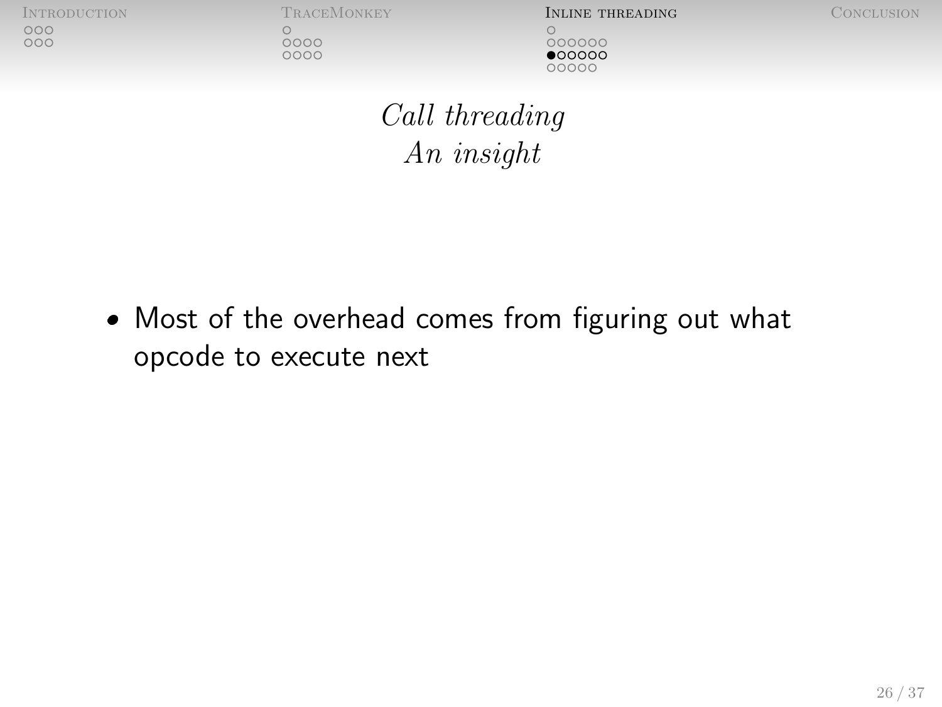$\bigcirc$ 

 $0000$ 

0000

[Introduction](#page-2-0) [TraceMonkey](#page-8-0) [Inline threading](#page-20-0) [Conclusion](#page-40-0)  $000000$  $•000000$ 00000

<span id="page-27-0"></span>

[Call threading](#page-27-0) An insight

 Most of the overhead comes from figuring out what opcode to execute next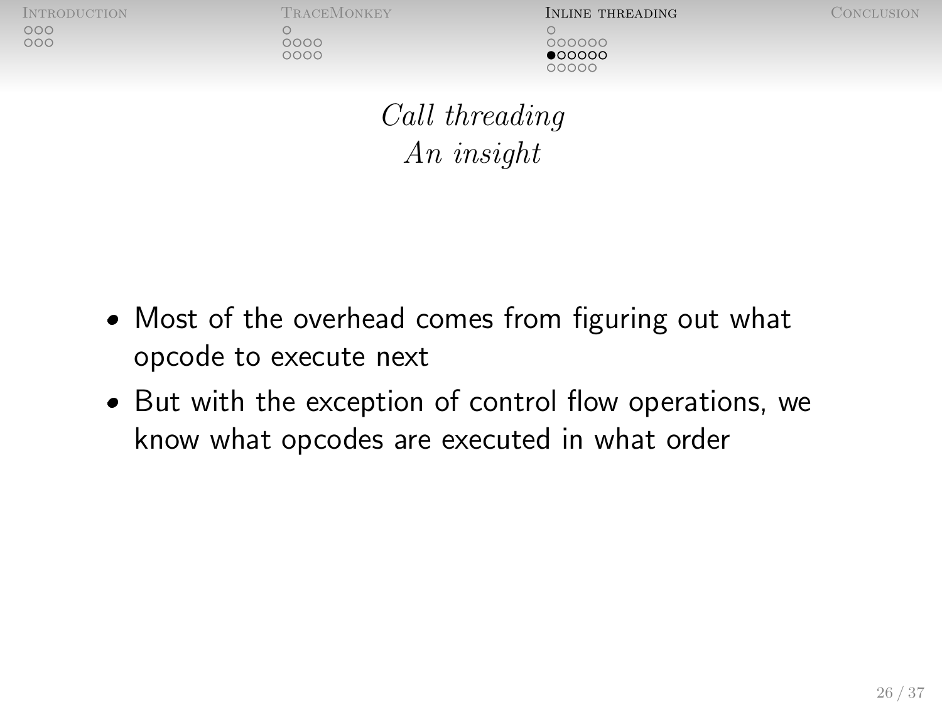$0000$ 

 $0000$ 

INTRODUCTION TRACEMONKEY **INLINE THREADING** CONCLUSION 000000  $\bullet$ 00000 nnnnn

[Call threading](#page-27-0) An insight

- Most of the overhead comes from figuring out what opcode to execute next
- But with the exception of control flow operations, we know what opcodes are executed in what order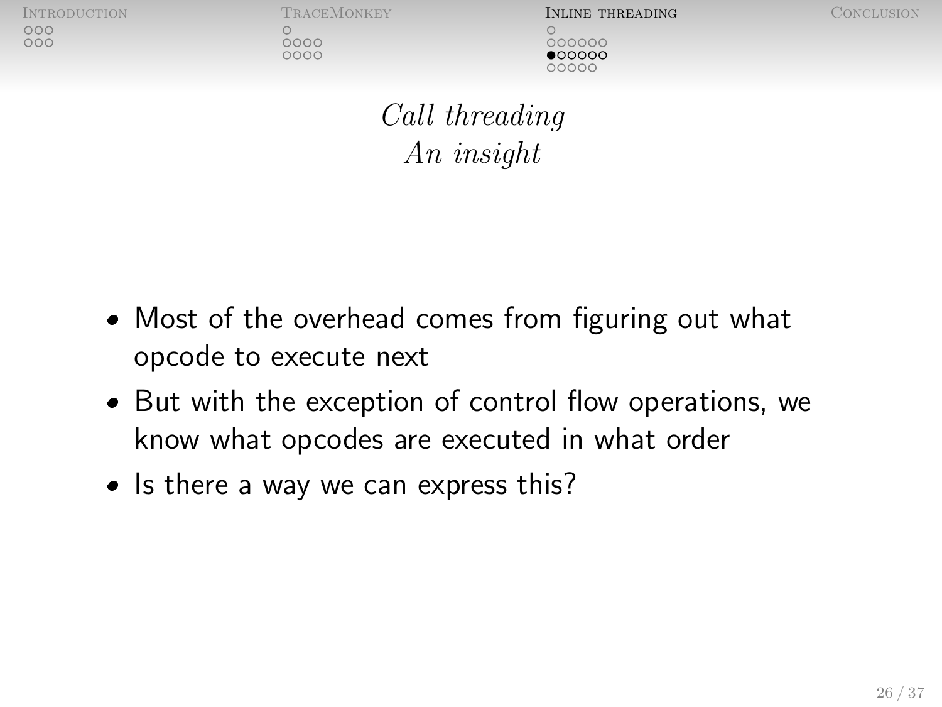noo  $000$ 

 $0000$ 

 $0000$ 

INTRODUCTION TRACEMONKEY **INLINE THREADING** CONCLUSION 000000  $\bullet$ 00000 10000

[Call threading](#page-27-0) An insight

- Most of the overhead comes from figuring out what opcode to execute next
- But with the exception of control flow operations, we know what opcodes are executed in what order
- Is there a way we can express this?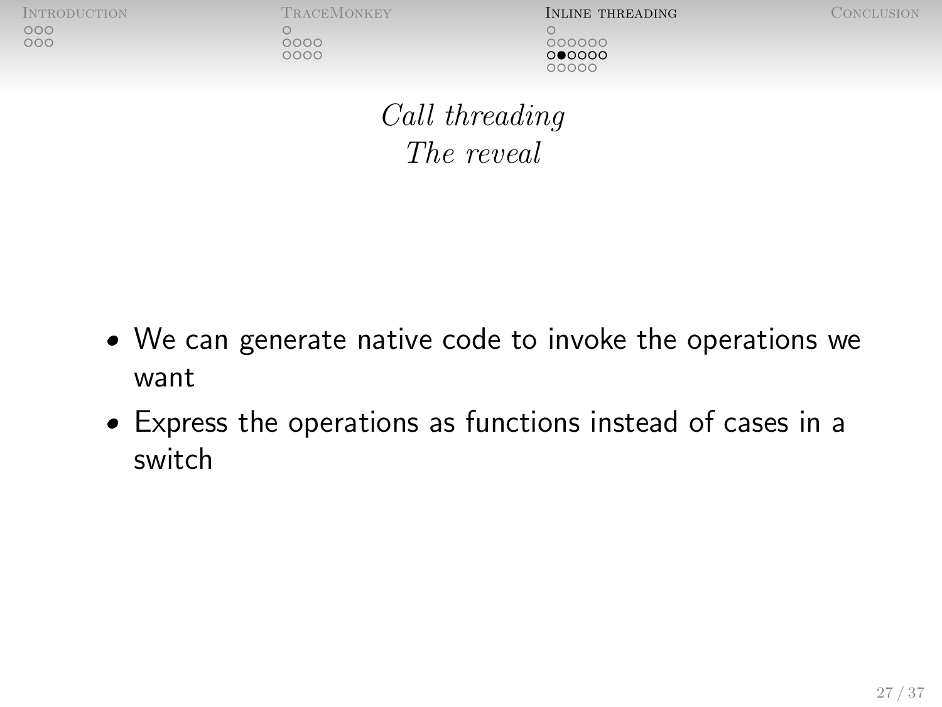| INTRODUCTION |  |
|--------------|--|
| 000          |  |
| 000          |  |

0000

**INLINE THREADING** CONCLUSION 000000  $000000$ nnnnn

[Call threading](#page-27-0) The reveal

- We can generate native code to invoke the operations we want
- Express the operations as functions instead of cases in a switch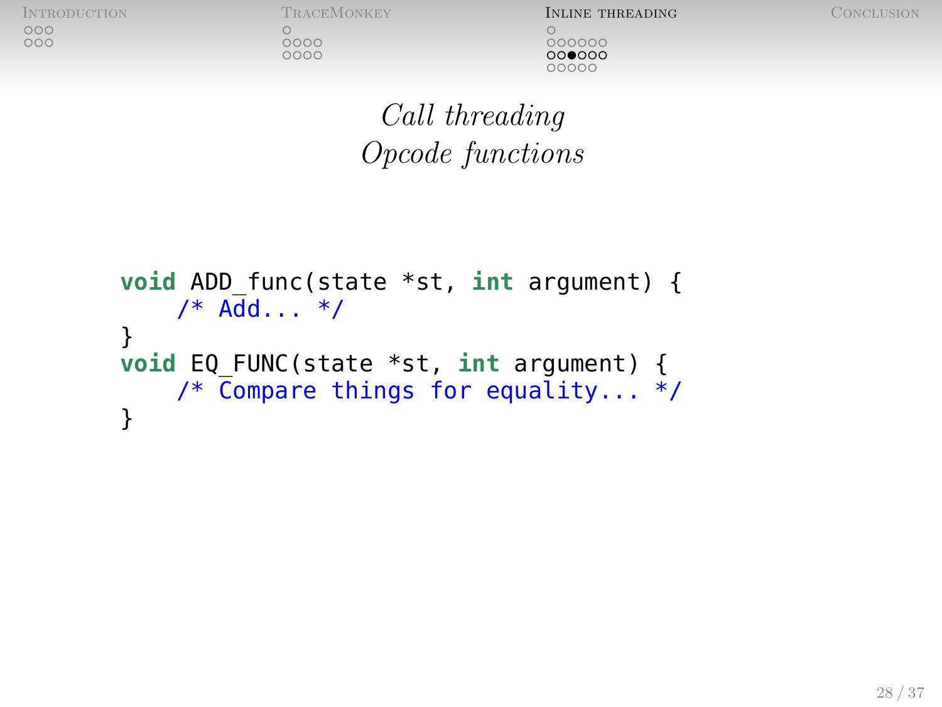$0000$ 

0000

**INTRODUCTION TRACEMONKEY INLINE THREADING** CONCLUSION 000000  $000000$ 00000

[Call threading](#page-27-0) Opcode functions

```
void ADD_func(state *st, int argument) {
    /* Add... */
}
void EQ_FUNC(state *st, int argument) {
    /* Compare things for equality... */
}
```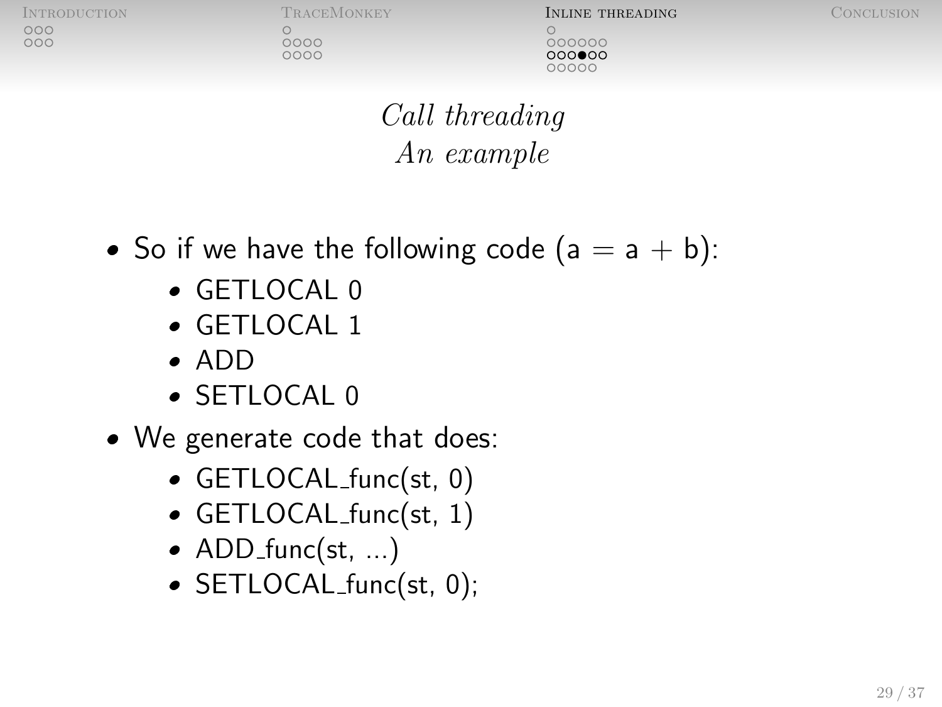$0000$ 

0000

INTRODUCTION TRACEMONKEY **INLINE THREADING** CONCLUSION 000000  $000$  $00$ COOOC

[Call threading](#page-27-0) An example

- So if we have the following code  $(a = a + b)$ :
	- GETLOCAL 0
	- GETLOCAL 1
	- ADD
	- SETLOCAL 0
- We generate code that does:
	- GETLOCAL func(st, 0)
	- GETLOCAL func(st, 1)
	- $\bullet$  ADD\_func(st, ...)
	- SETLOCAL\_func(st, 0);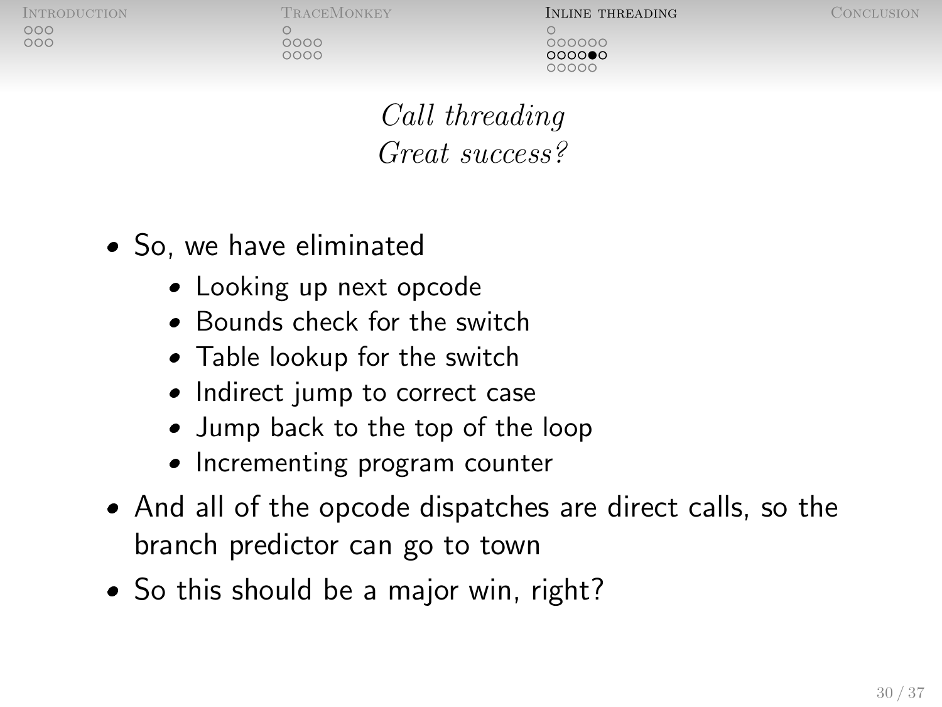nnn

0000

 $0000$ 

INTRODUCTION TRACEMONKEY **INLINE THREADING** CONCLUSION 000000  $00000C$ 

[Call threading](#page-27-0) Great success?

- So, we have eliminated
	- Looking up next opcode
	- Bounds check for the switch
	- Table lookup for the switch
	- Indirect jump to correct case
	- Jump back to the top of the loop
	- Incrementing program counter
- And all of the opcode dispatches are direct calls, so the branch predictor can go to town
- So this should be a major win, right?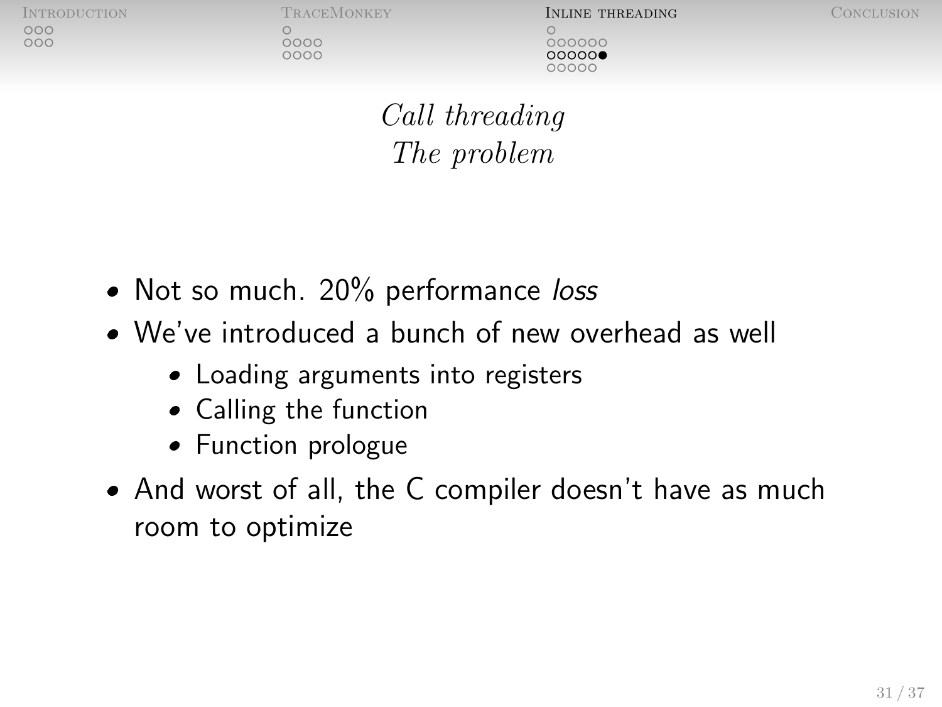noo  $000$ 

 $0000$ 

 $0000$ 

INTRODUCTION TRACEMONKEY **INLINE THREADING** CONCLUSION 000000  $000000$ 

[Call threading](#page-27-0) The problem

- Not so much. 20% performance loss
- We've introduced a bunch of new overhead as well
	- Loading arguments into registers
	- Calling the function
	- Function prologue
- And worst of all, the C compiler doesn't have as much room to optimize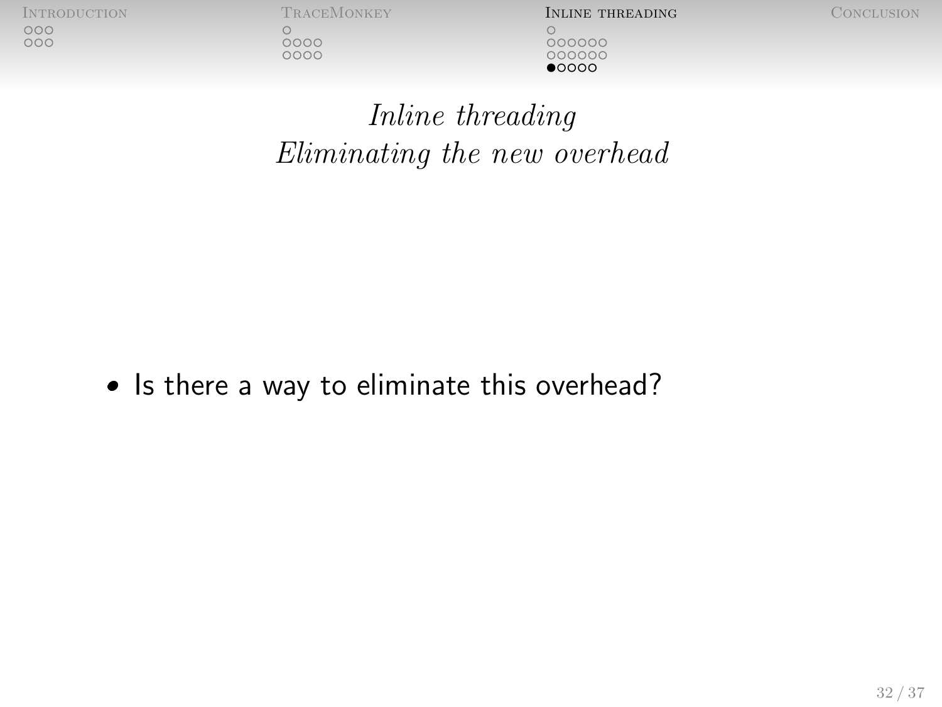$\bigcirc$ 

 $\begin{array}{c} 0000 \\ 0000 \end{array}$ 

[Introduction](#page-2-0) [TraceMonkey](#page-8-0) [Inline threading](#page-20-0) [Conclusion](#page-40-0) 000000 000000  $\bullet$ 0000

<span id="page-35-0"></span>

[Inline threading](#page-35-0) Eliminating the new overhead

• Is there a way to eliminate this overhead?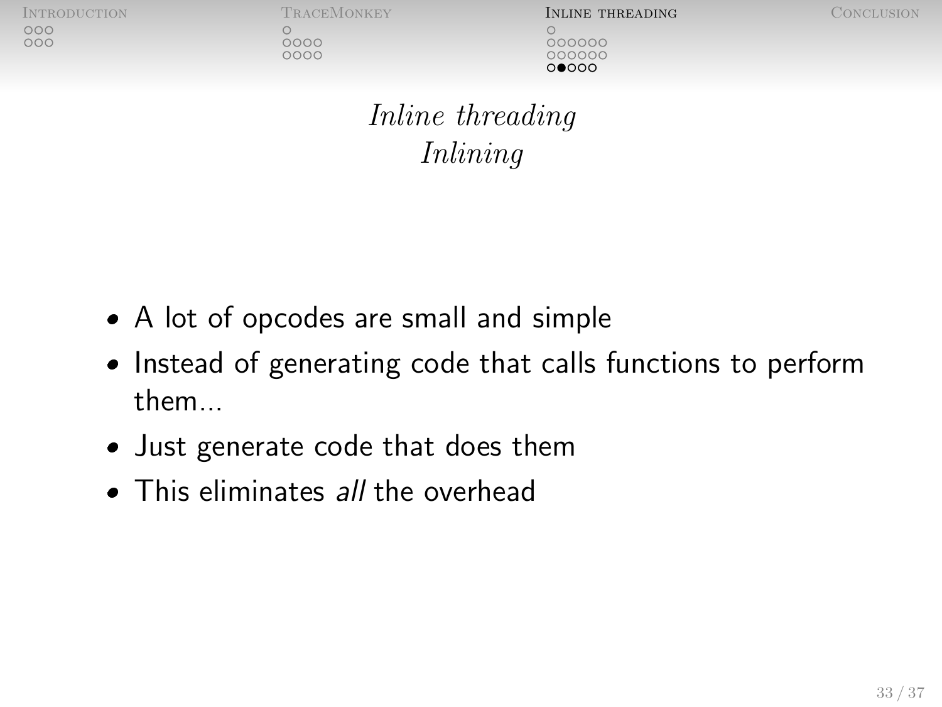noo  $000$ 

 $0000$ 

 $0000$ 

INTRODUCTION TRACEMONKEY **INLINE THREADING** CONCLUSION 000000 00000C ∩∩∩∩

[Inline threading](#page-35-0) Inlining

- A lot of opcodes are small and simple
- Instead of generating code that calls functions to perform them...
- Just generate code that does them
- This eliminates all the overhead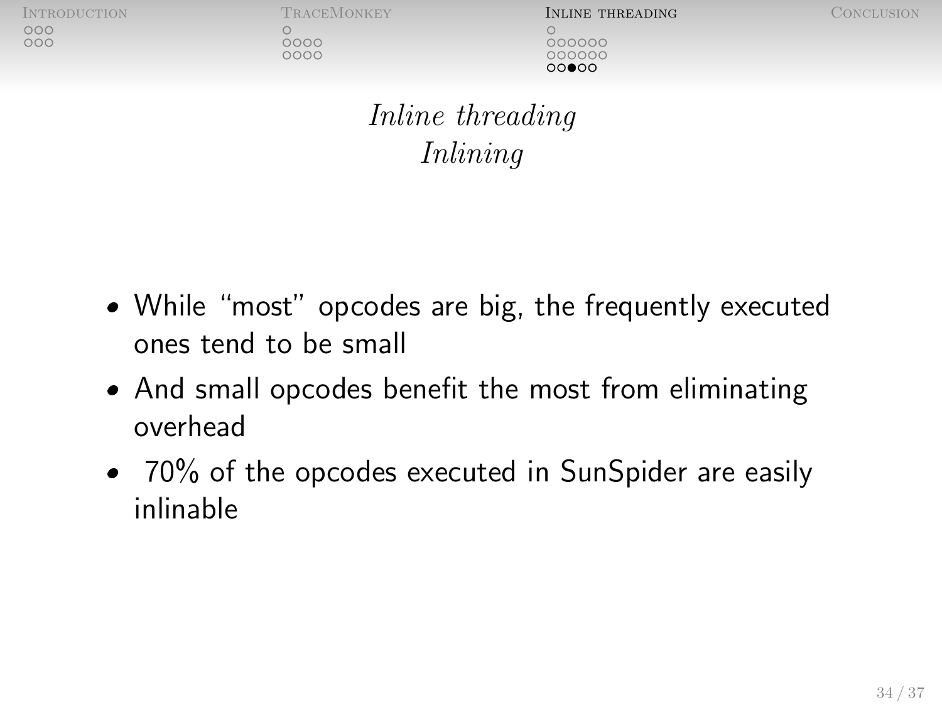| INTRODUCTION |  |
|--------------|--|
| .coo         |  |
| 000          |  |

 $0000$ 

**INLINE THREADING** CONCLUSION 000000 **MAQQQ** 

[Inline threading](#page-35-0) Inlining

- While "most" opcodes are big, the frequently executed ones tend to be small
- And small opcodes benefit the most from eliminating overhead
- 70% of the opcodes executed in SunSpider are easily inlinable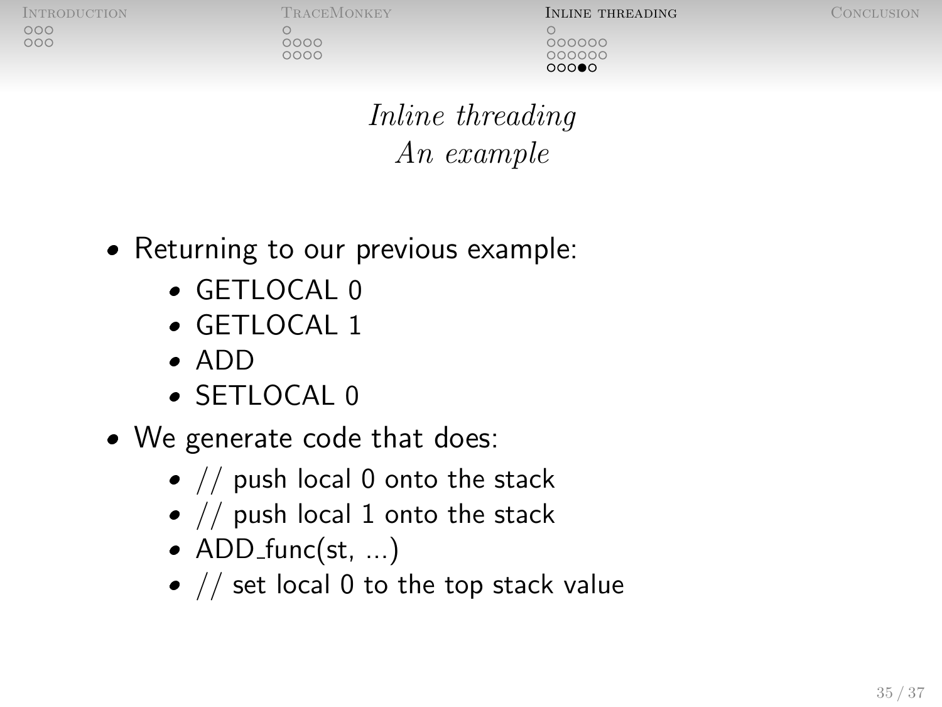0000

 $0000$ 

INTRODUCTION TRACEMONKEY **INLINE THREADING** CONCLUSION 000000 00000C റററ≘റ

[Inline threading](#page-35-0) An example

- Returning to our previous example:
	- GETLOCAL 0
	- GETLOCAL 1
	- ADD
	- SETLOCAL 0
- We generate code that does:
	- $\bullet$  // push local 0 onto the stack
	- $\bullet$  // push local 1 onto the stack
	- $\bullet$  ADD\_func(st, ...)
	- $\bullet$  // set local 0 to the top stack value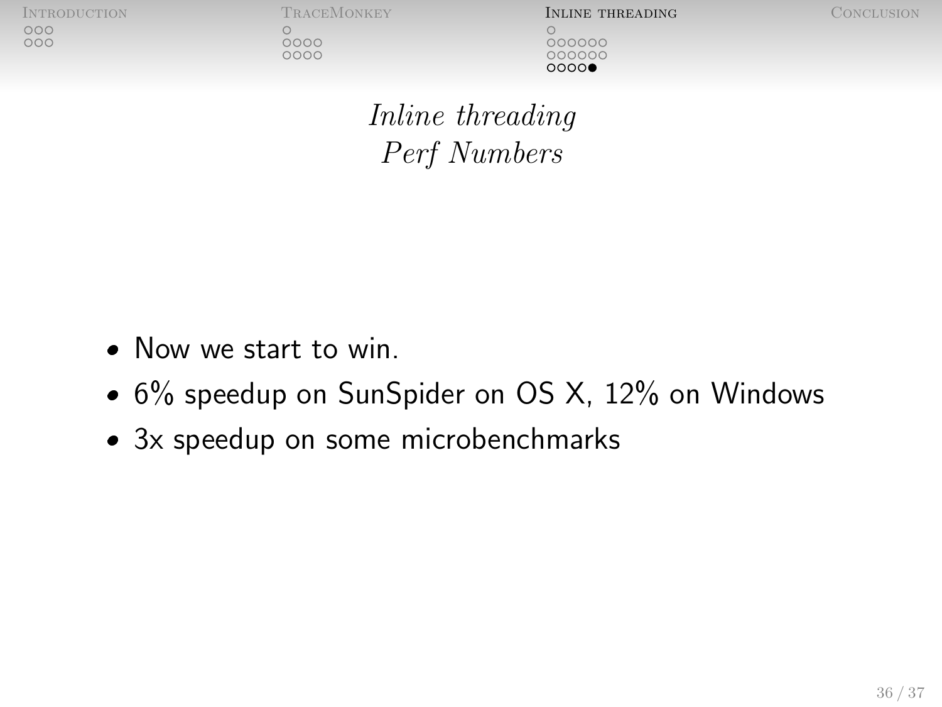$0000$ 

0000

[Introduction](#page-2-0) [TraceMonkey](#page-8-0) [Inline threading](#page-20-0) [Conclusion](#page-40-0) 000000 00000C റററ**െ** 

[Inline threading](#page-35-0) Perf Numbers

- Now we start to win.
- 6% speedup on SunSpider on OS X, 12% on Windows
- 3x speedup on some microbenchmarks